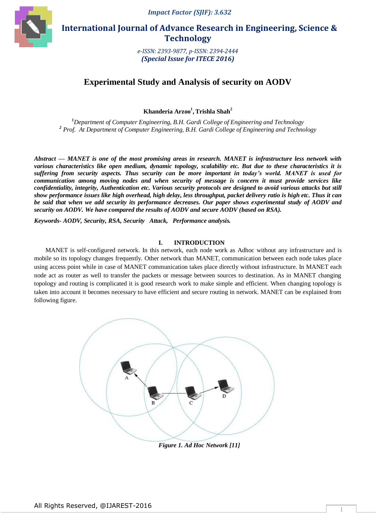

 **International Journal of Advance Research in Engineering, Science & Technology** 

> *e-ISSN: 2393-9877, p-ISSN: 2394-2444 (Special Issue for ITECE 2016)*

# **Experimental Study and Analysis of security on AODV**

**Khanderia Arzoo<sup>1</sup> , Trishla Shah<sup>2</sup>**

*<sup>1</sup>Department of Computer Engineering, B.H. Gardi College of Engineering and Technology <sup>2</sup> Prof. At Department of Computer Engineering, B.H. Gardi College of Engineering and Technology*

*Abstract* **—** *MANET is one of the most promising areas in research. MANET is infrastructure less network with various characteristics like open medium, dynamic topology, scalability etc. But due to these characteristics it is suffering from security aspects. Thus security can be more important in today's world. MANET is used for communication among moving nodes and when security of message is concern it must provide services like confidentiality, integrity, Authentication etc. Various security protocols are designed to avoid various attacks but still show performance issues like high overhead, high delay, less throughput, packet delivery ratio is high etc. Thus it can be said that when we add security its performance decreases. Our paper shows experimental study of AODV and security on AODV. We have compared the results of AODV and secure AODV (based on RSA).* 

*Keywords- AODV, Security, RSA, Security Attack, Performance analysis.*

#### **I. INTRODUCTION**

MANET is self-configured network. In this network, each node work as Adhoc without any infrastructure and is mobile so its topology changes frequently. Other network than MANET, communication between each node takes place using access point while in case of MANET communication takes place directly without infrastructure. In MANET each node act as router as well to transfer the packets or message between sources to destination. As in MANET changing topology and routing is complicated it is good research work to make simple and efficient. When changing topology is taken into account it becomes necessary to have efficient and secure routing in network. MANET can be explained from following figure.



*Figure 1. Ad Hoc Network [11]*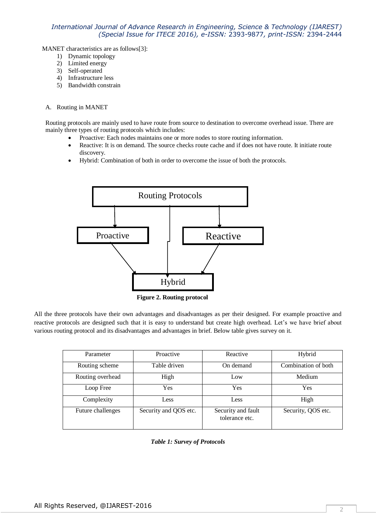MANET characteristics are as follows[3]:

- 1) Dynamic topology
- 2) Limited energy
- 3) Self-operated
- 4) Infrastructure less
- 5) Bandwidth constrain

#### A. Routing in MANET

Routing protocols are mainly used to have route from source to destination to overcome overhead issue. There are mainly three types of routing protocols which includes:

- Proactive: Each nodes maintains one or more nodes to store routing information.
- Reactive: It is on demand. The source checks route cache and if does not have route. It initiate route discovery.
- Hybrid: Combination of both in order to overcome the issue of both the protocols.



 **Figure 2. Routing protocol**

All the three protocols have their own advantages and disadvantages as per their designed. For example proactive and reactive protocols are designed such that it is easy to understand but create high overhead. Let's we have brief about various routing protocol and its disadvantages and advantages in brief. Below table gives survey on it.

| Parameter         | Proactive             | Reactive                             | Hybrid              |
|-------------------|-----------------------|--------------------------------------|---------------------|
| Routing scheme    | Table driven          | On demand                            | Combination of both |
| Routing overhead  | High                  | Low                                  | Medium              |
| Loop Free         | Yes                   | Yes                                  | Yes                 |
| Complexity        | Less                  | Less                                 | High                |
| Future challenges | Security and QOS etc. | Security and fault<br>tolerance etc. | Security, QOS etc.  |

*Table 1: Survey of Protocols*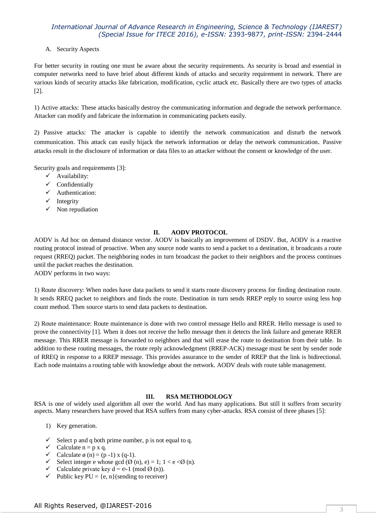#### A. Security Aspects

For better security in routing one must be aware about the security requirements. As security is broad and essential in computer networks need to have brief about different kinds of attacks and security requirement in network. There are various kinds of security attacks like fabrication, modification, cyclic attack etc. Basically there are two types of attacks [2].

1) Active attacks: These attacks basically destroy the communicating information and degrade the network performance. Attacker can modify and fabricate the information in communicating packets easily.

2) Passive attacks: The attacker is capable to identify the network communication and disturb the network communication. This attack can easily hijack the network information or delay the network communication. Passive attacks result in the disclosure of information or data files to an attacker without the consent or knowledge of the user.

Security goals and requirements [3]:

- $\checkmark$  Availability:
- $\checkmark$  Confidentially
- $\checkmark$  Authentication:
- $\checkmark$  Integrity
- $\checkmark$  Non repudiation

#### **II. AODV PROTOCOL**

AODV is Ad hoc on demand distance vector. AODV is basically an improvement of DSDV. But, AODV is a reactive routing protocol instead of proactive. When any source node wants to send a packet to a destination, it broadcasts a route request (RREQ) packet. The neighboring nodes in turn broadcast the packet to their neighbors and the process continues until the packet reaches the destination.

AODV performs in two ways:

1) Route discovery: When nodes have data packets to send it starts route discovery process for finding destination route. It sends RREQ packet to neighbors and finds the route. Destination in turn sends RREP reply to source using less hop count method. Then source starts to send data packets to destination.

2) Route maintenance: Route maintenance is done with two control message Hello and RRER. Hello message is used to prove the connectivity [1]. When it does not receive the hello message then it detects the link failure and generate RRER message. This RRER message is forwarded to neighbors and that will erase the route to destination from their table. In addition to these routing messages, the route reply acknowledgment (RREP-ACK) message must be sent by sender node of RREQ in response to a RREP message. This provides assurance to the sender of RREP that the link is bidirectional. Each node maintains a routing table with knowledge about the network. AODV deals with route table management.

#### **III. RSA METHODOLOGY**

RSA is one of widely used algorithm all over the world. And has many applications. But still it suffers from security aspects. Many researchers have proved that RSA suffers from many cyber-attacks. RSA consist of three phases [5]:

- 1) Key generation.
- $\checkmark$  Select p and q both prime number, p is not equal to q.
- $\checkmark$  Calculate n = p x q.
- $\checkmark$  Calculate ø (n) = (p -1) x (q-1).
- Select integer e whose gcd  $(\emptyset$  (n), e) = 1; 1 < e < $\emptyset$  (n).
- $\checkmark$  Calculate private key d = e-1 (mod  $\emptyset$  (n)).
- $\checkmark$  Public key PU = {e, n}(sending to receiver)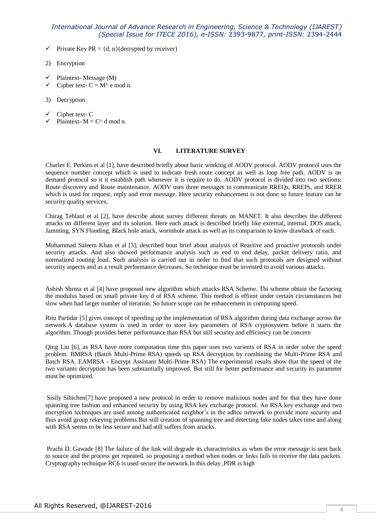- Private Key  $PR = \{d, n\}$  (decrypted by receiver)
- 2) Encryption
- Plaintext- Message (M)
- $\checkmark$  Cipher text- C = M^ e mod n.
- 3) Decryption
- $\checkmark$  Cipher text- C
- $\checkmark$  Plaintext- M = C^ d mod n.

#### **VI. LITERATURE SURVEY**

Charles E. Perkins et al [1], have described briefly about basic working of AODV protocol. AODV protocol uses the sequence number concept which is used to indicate fresh route concept as well as loop free path. AODV is on demand protocol so it it establish path whenever it is require to do. AODV protocol is divided into two sections: Route discovery and Route maintenance. AODV uses three messages to communicate RREQs, RREPs, and RRER which is used for request, reply and error message. Here security enhancement is not done so future feature can be security quality services.

Chirag Tehlanl et al [2], have describe about survey different threats on MANET. It also describes the different attacks on different layer and its solution. Here each attack is described briefly like external, internal, DOS attack, Jamming, SYN Flooding, Black hole attack, wormhole attack as well as its comparison to know drawback of each.

Muhammad Saleem Khan et al [3], described bout brief about analysis of Reactive and proactive protocols under security attacks. And also showed performance analysis such as end to end delay, packet delivery ratio, and normalized routing load. Such analysis is carried out in order to find that such protocols are designed without security aspects and as a result performance decreases. So technique must be invented to avoid various attacks.

Ashish Shrma et al [4] have proposed new algorithm which attacks RSA Scheme. Thi scheme obtain the factoring the modulus based on small private key d of RSA scheme. This method is effient under certain circumstances but slow when had larger number of iteration. So future scope can be enhancement in computing speed.

Ritu Partidar [5] gives concept of speeding up the implementation of RSA algorithm during data exchange across the network.A database system is used in order to store key parameters of RSA cryptosystem before it starts the algorithm. Though provides better performance than RSA but still security and efficiency can be concern

Qing Liu [6], as RSA have more computation time this paper uses two varients of RSA in order solve the speed problem. BMRSA (Batch Multi-Prime RSA) speeds up RSA decryption by combining the Multi-Prime RSA and Batch RSA. EAMRSA - Encrypt Assistant Multi-Prime RSA) The experimental results show that the speed of the two variants decryption has been substantially improved. But still for better performance and security its parameter must be optimized.

Sisily Sibichen[7] have proposed a new protocol in order to remove malicious nodes and for that they have done spanning tree fashion and enhanced security by using RSA key exchange protocol. An RSA key exchange and two encryption techniques are used among authenticated neighbor's in the adhoc network to provide more security and thus avoid group rekeying problems.But still creation of spanning tree and detecting fake nodes takes time and along with RSA seems to be less secure and had still suffers from attacks.

Prachi D. Gawade [8] The failure of the link will degrade its characteristics as when the error message is sent back to source and the process get repeated. so proposing a method when nodes or links fails to receive the data packets. Cryptography technique RC6 is used secure the network.In this delay ,PDR is high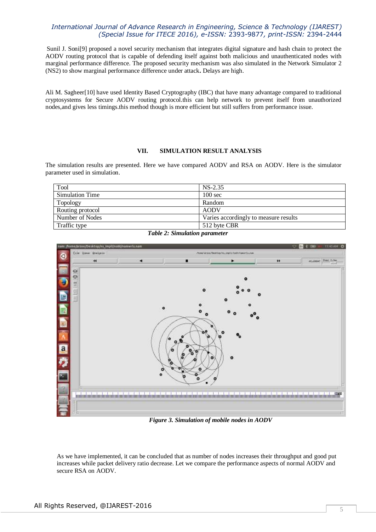Sunil J. Soni[9] proposed a novel security mechanism that integrates digital signature and hash chain to protect the AODV routing protocol that is capable of defending itself against both malicious and unauthenticated nodes with marginal performance difference. The proposed security mechanism was also simulated in the Network Simulator 2 (NS2) to show marginal performance difference under attack**.** Delays are high.

Ali M. Sagheer[10] have used Identity Based Cryptography (IBC) that have many advantage compared to traditional cryptosystems for Secure AODV routing protocol.this can help network to prevent itself from unauthorized nodes,and gives less timings.this method though is more efficient but still suffers from performance issue.

#### **VII. SIMULATION RESULT ANALYSIS**

The simulation results are presented. Here we have compared AODV and RSA on AODV. Here is the simulator parameter used in simulation.

| Tool             | $NS-2.35$                             |  |
|------------------|---------------------------------------|--|
| Simulation Time  | $100 \text{ sec}$                     |  |
| Topology         | Random                                |  |
| Routing protocol | <b>AODV</b>                           |  |
| Number of Nodes  | Varies accordingly to measure results |  |
| Traffic type     | 512 byte CBR                          |  |





*Figure 3. Simulation of mobile nodes in AODV*

As we have implemented, it can be concluded that as number of nodes increases their throughput and good put increases while packet delivery ratio decrease. Let we compare the performance aspects of normal AODV and secure RSA on AODV.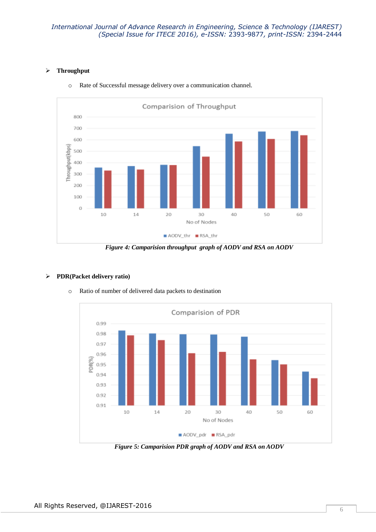### **Throughput**



o Rate of Successful message delivery over a communication channel.

*Figure 4: Camparision throughput graph of AODV and RSA on AODV*



### **PDR(Packet delivery ratio)**

o Ratio of number of delivered data packets to destination

*Figure 5: Camparision PDR graph of AODV and RSA on AODV*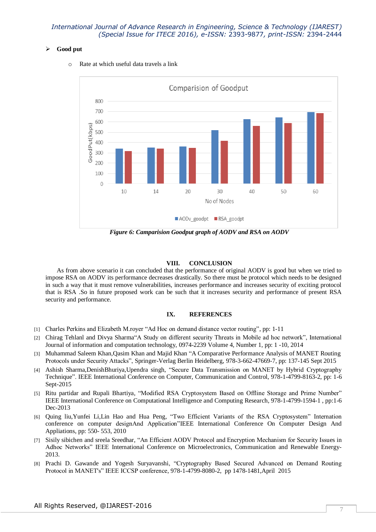#### **Good put**



o Rate at which useful data travels a link

*Figure 6: Camparision Goodput graph of AODV and RSA on AODV*

#### **VIII. CONCLUSION**

As from above scenario it can concluded that the performance of original AODV is good but when we tried to impose RSA on AODV its performance decreases drastically. So there must be protocol which needs to be designed in such a way that it must remove vulnerabilities, increases performance and increases security of exciting protocol that is RSA .So in future proposed work can be such that it increases security and performance of present RSA security and performance.

### **IX. REFERENCES**

- [1] Charles Perkins and Elizabeth M.royer "Ad Hoc on demand distance vector routing", pp: 1-11
- [2] Chirag Tehlanl and Divya Sharma"A Study on different security Threats in Mobile ad hoc network", International Journal of information and computation technology, 0974-2239 Volume 4, Number 1, pp: 1 -10, 2014
- [3] Muhammad Saleem Khan,Qasim Khan and Majid Khan "A Comparative Performance Analysis of MANET Routing Protocols under Security Attacks", Springer-Verlag Berlin Heidelberg, 978-3-662-47669-7, pp: 137-145 Sept 2015
- [4] Ashish Sharma,DenishBhuriya,Upendra singh, "Secure Data Transmission on MANET by Hybrid Cryptography Technique". IEEE International Conference on Computer, Communication and Control, 978-1-4799-8163-2, pp: 1-6 Sept-2015
- [5] Ritu partidar and Rupali Bhartiya, "Modified RSA Cryptosystem Based on Offline Storage and Prime Number" IEEE International Conference on Computational Intelligence and Computing Research, 978-1-4799-1594-1 , pp:1-6 Dec-2013
- [6] Quing liu,Yunfei Li,Lin Hao and Hua Peng, "Two Efficient Variants of the RSA Cryptosystem" Internation conference on computer designAnd Application"IEEE International Conference On Computer Design And Appliations, pp: 550- 553, 2010
- [7] Sisily sibichen and sreela Sreedhar, "An Efficient AODV Protocol and Encryption Mechanism for Security Issues in Adhoc Networks" IEEE International Conference on Microelectronics, Communication and Renewable Energy-2013.
- [8] Prachi D. Gawande and Yogesh Suryavanshi, "Cryptography Based Secured Advanced on Demand Routing Protocol in MANET's" IEEE ICCSP conference, 978-1-4799-8080-2, pp 1478-1481,April 2015